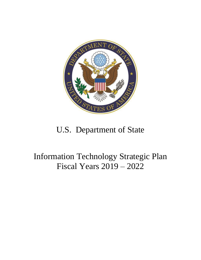

# U.S. Department of State

# Information Technology Strategic Plan Fiscal Years 2019 – 2022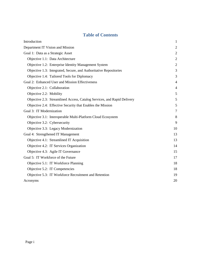# **Table of Contents**

| Introduction                                                            | $\mathbf{1}$   |  |
|-------------------------------------------------------------------------|----------------|--|
| Department IT Vision and Mission                                        |                |  |
| Goal 1: Data as a Strategic Asset                                       |                |  |
| Objective 1.1: Data Architecture                                        | $\overline{2}$ |  |
| Objective 1.2: Enterprise Identity Management System                    | $\overline{2}$ |  |
| Objective 1.3: Integrated, Secure, and Authoritative Repositories       | 3              |  |
| Objective 1.4: Tailored Tools for Diplomacy                             | 3              |  |
| Goal 2: Enhanced User and Mission Effectiveness                         | $\overline{4}$ |  |
| Objective 2.1: Collaboration                                            | $\overline{4}$ |  |
| Objective 2.2: Mobility                                                 | 5              |  |
| Objective 2.3: Streamlined Access, Catalog Services, and Rapid Delivery | 5              |  |
| Objective 2.4: Effective Security that Enables the Mission              | 5              |  |
| Goal 3: IT Modernization                                                |                |  |
| Objective 3.1: Interoperable Multi-Platform Cloud Ecosystem             | 8              |  |
| Objective 3.2: Cybersecurity                                            | 9              |  |
| Objective 3.3: Legacy Modernization                                     | 10             |  |
| Goal 4: Strengthened IT Management                                      |                |  |
| Objective 4.1: Streamlined IT Acquisition                               | 13             |  |
| Objective 4.2: IT Services Organization                                 | 14             |  |
| Objective 4.3: Agile IT Governance                                      | 15             |  |
| Goal 5: IT Workforce of the Future                                      | 17             |  |
| Objective 5.1: IT Workforce Planning                                    | 18             |  |
| Objective 5.2: IT Competencies                                          | 18             |  |
| Objective 5.3: IT Workforce Recruitment and Retention                   | 19             |  |
| Acronyms                                                                | 20             |  |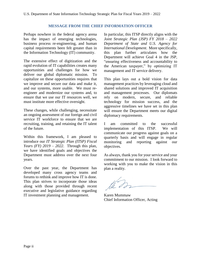## **MESSAGE FROM THE CHIEF INFORMATION OFFICER**

Perhaps nowhere in the federal agency arena has the impact of emerging technologies, business process re-engineering, and human capital requirements been felt greater than in the Information Technology (IT) community.

The extensive effect of digitization and the rapid evolution of IT capabilities creates many opportunities and challenges for how we deliver our global diplomatic mission. To capitalize on these opportunities requires that we improve and secure our data and make it, and our systems, more usable. We must reengineer and modernize our systems and, to ensure that we use our IT resources well, we must institute more effective oversight.

These changes, while challenging, necessitate an ongoing assessment of our foreign and civil service IT workforce to ensure that we are recruiting, training, and retaining the IT talent of the future.

Within this framework, I am pleased to introduce our *IT Strategic Plan (ITSP) Fiscal Years (FY) 2019 – 2022*. Through this plan, we have identified goals and objectives the Department must address over the next four years.

Over the past year, the Department has developed many cross agency teams and forums to rethink and improve how IT is done. This plan strives to incorporate those ideas along with those provided through recent executive and legislative guidance regarding IT investment planning and management.

In particular, this ITSP directly aligns with the *Joint Strategic Plan (JSP) FY 2018 – 2022 Department of State and U.S. Agency for International Development*. More specifically, this plan further articulates how the Department will achieve Goal 4 in the JSP, "ensuring effectiveness and accountability to the American taxpayer," by optimizing IT management and IT service delivery.

This plan lays out a bold vision for data management practices by leveraging cloud and shared solutions and improved IT acquisition and management processes. Our diplomats rely on modern, secure, and reliable technology for mission success, and the aggressive timelines we have set in this plan will ensure the Department meets our digital diplomacy requirements.

I am committed to the successful implementation of this ITSP. We will communicate our progress against goals on a quarterly basis and will engage in regular monitoring and reporting against our objectives.

As always, thank you for your service and your commitment to our mission. I look forward to working with you to make the vision in this plan a reality.

Karen Mummaw Chief Information Officer, Acting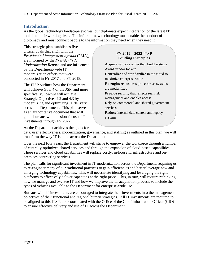# <span id="page-3-0"></span>**Introduction**

As the global technology landscape evolves, our diplomats expect integration of the latest IT tools into their working lives. The influx of new technology must enable the conduct of diplomacy and must connect people to the information they need when they need it.

This strategic plan establishes five critical goals that align with the *President's Management Agenda* (PMA), are informed by the *President's IT Modernization Report*, and are influenced by the Department-wide IT modernization efforts that were conducted in FY 2017 and FY 2018.

The ITSP outlines how the Department will achieve Goal 4 of the JSP, and more specifically, how we will achieve Strategic Objectives 4.2 and 4.3 by modernizing and optimizing IT delivery across the Department. This plan serves as an authoritative document that will guide bureaus with mission-focused IT investments through FY 2022.

## **FY 2019 – 2022 ITSP Guiding Principles**

**Acquire** services rather than build systems **Avoid** vendor lock-in **Centralize** and **standardize** in the cloud to maximize enterprise value **Re-engineer** business processes as systems are modernized **Provide** security that reflects real risk management and enables access **Rely** on commercial and shared government services **Reduce** internal data centers and legacy systems

As the Department achieves the goals for

data, user effectiveness, modernization, governance, and staffing as outlined in this plan, we will transform the way IT is done across the Department.

Over the next four years, the Department will strive to empower the workforce through a number of centrally-optimized shared services and through the expansion of cloud-based capabilities. These services and cloud capabilities will replace costly, in-house IT infrastructure and onpremises contracting services.

The plan calls for significant investment in IT modernization across the Department, requiring us to re-engineer many of our traditional practices to gain efficiencies and better leverage new and emerging technology capabilities. This will necessitate identifying and leveraging the right platforms to effectively deliver capacities at the right price. This, in turn, will require rethinking how we manage and oversee IT and how we improve the IT acquisition process, to include the types of vehicles available to the Department for enterprise-wide use.

Bureaus with IT investments are encouraged to integrate their investments into the management objectives of their functional and regional bureau strategies. All IT investments are required to be aligned to this ITSP, and coordinated with the Office of the Chief Information Officer (CIO) to ensure effective delivery and use of IT across the Department.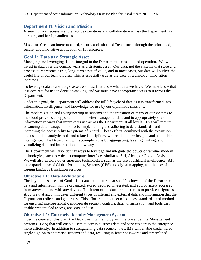# <span id="page-4-0"></span>**Department IT Vision and Mission**

**Vision:** Drive necessary and effective operations and collaboration across the Department, its partners, and foreign audiences.

**Mission:** Create an interconnected, secure, and informed Department through the prioritized, secure, and innovative application of IT resources.

# <span id="page-4-1"></span>**Goal 1: Data as a Strategic Asset**

Managing and leveraging data is integral to the Department's mission and operation. We will invest in data over the coming years as a strategic asset. Our data, not the systems that store and process it, represents a true, long-term asset of value, and in most cases, our data will outlive the useful life of our technologies. This is especially true as the pace of technology innovation increases.

To leverage data as a strategic asset, we must first know what data we have. We must know that it is accurate for use in decision-making, and we must have appropriate access to it across the Department.

Under this goal, the Department will address the full lifecycle of data as it is transformed into information, intelligence, and knowledge for use by our diplomatic missions.

The modernization and re-engineering of systems and the transition of many of our systems to the cloud provides an opportune time to better manage our data and to appropriately share information in ways that improve its use across the Department at all levels. This will require advancing data management efforts, implementing and adhering to data standards, and increasing the accessibility to systems of record. These efforts, combined with the expansion and use of data analytic tools and related disciplines, will result in new insights and actionable intelligence. The Department will accomplish this by aggregating, layering, linking, and visualizing data and information in new ways.

The Department will also identify ways to leverage and integrate the power of familiar modern technologies, such as voice-to-computer interfaces similar to Siri, Alexa, or Google Assistant. We will also explore other emerging technologies, such as the use of artificial intelligence (AI), the expanded use of Global Positioning Systems (GPS) and digital mapping, and the use of foreign language translation services.

## <span id="page-4-2"></span>**Objective 1.1: Data Architecture**

The key to the success of Goal 1 is a data architecture that specifies how all of the Department's data and information will be organized, stored, secured, integrated, and appropriately accessed from anywhere and with any device. The intent of the data architecture is to provide a rigorous structure that accommodates different types of internal and external data and information that the Department collects and generates. This effort requires a set of policies, standards, and methods for ensuring interoperability, appropriate security controls, data normalization, and tools that enable credentialed access, analysis, and use.

### <span id="page-4-3"></span>**Objective 1.2: Enterprise Identity Management System**

Over the course of this plan, the Department will employ an Enterprise Identity Management System (EIMS) that will enable users to access business data and services across the enterprise more efficiently. In addition to strengthening data security, the EIMS will enable credentialed single sign-on to enterprise systems and data, resulting in fewer passwords and streamlined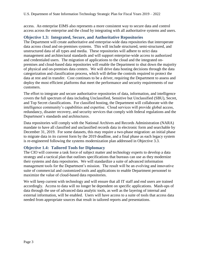access. An enterprise EIMS also represents a more consistent way to secure data and control access across the enterprise and the cloud by integrating with all authoritative systems and users.

## <span id="page-5-0"></span>**Objective 1.3: Integrated, Secure, and Authoritative Repositories**

The Department will create authoritative and enterprise-wide data repositories that interoperate data across cloud and on-premises systems. This will include structured, semi-structured, and unstructured data of all types and media. These repositories will adhere to strict data management and architectural standards and will support enterprise-wide access to authorized and credentialed users. The migration of applications to the cloud and the integrated onpremises and cloud-based data repositories will enable the Department to shut down the majority of physical and on-premises data centers. We will drive data hosting decisions through the data categorization and classification process, which will define the controls required to protect the data at rest and in transfer. Cost continues to be a driver, requiring the Department to assess and deploy the most efficient platforms that meet the performance and security requirements of our customers.

The effort to integrate and secure authoritative repositories of data, information, and intelligence covers the full spectrum of data including Unclassified, Sensitive but Unclassified (SBU), Secret, and Top Secret classifications. For classified hosting, the Department will collaborate with the intelligence community's capabilities and expertise. Cloud services will provide global access, redundancy, disaster recovery, and security services that comply with federal regulations and the Department's standards and architectures.

Data repositories will comply with the National Archives and Records Administration (NARA) mandate to have all classified and unclassified records data in electronic form and searchable by December 31, 2019. For some datasets, this may require a two-phase migration: an initial phase to migrate data in its current form by the 2019 deadline, and a final phase as each legacy system is re-engineered following the systems modernization plan addressed in Objective 3.3.

## <span id="page-5-1"></span>**Objective 1.4: Tailored Tools for Diplomacy**

The CIO will convene a task force of subject matter and technology experts to develop a data strategy and a tactical plan that outlines specifications that bureaus can use as they modernize their systems and data repositories. We will standardize a suite of advanced information management tools for the Department's mission. The result will be an evolving and innovative suite of commercial and customized tools and applications to enable Department personnel to maximize the value of cloud-based data repositories.

We will keep current with technology and will ensure that all IT staff and end users are trained accordingly. Access to data will no longer be dependent on specific applications. Mash-ups of data through the use of advanced data analytic tools, as well as the layering of internal and external information, will be enabled. Users will have access to a suite of tools that access data needed from appropriate sources that result in tailored reports and presentations.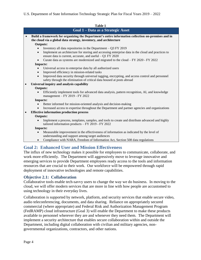#### U.S. Department of State Information Technology Strategic Plan for Fiscal Years 2019 – 2022

|           | Table 1                                                                                                                                                                               |  |  |  |
|-----------|---------------------------------------------------------------------------------------------------------------------------------------------------------------------------------------|--|--|--|
|           | Goal 1 - Data as a Strategic Asset                                                                                                                                                    |  |  |  |
| $\bullet$ | Build a framework for organizing the Department's entire information collection on-premises and in<br>the cloud via a global data strategy, inventory, and architecture               |  |  |  |
|           | <b>Outputs:</b>                                                                                                                                                                       |  |  |  |
|           | Inventory all data repositories in the Department $-$ Q3 FY 2019                                                                                                                      |  |  |  |
|           | Implement an architecture for storing and accessing enterprise data in the cloud and practices to<br>$\bullet$<br>ensure data is current, accurate, and useful $-Q1$ FY 2020          |  |  |  |
|           | Curate data as systems are modernized and migrated to the cloud $-FY 2020 - FY 2022$<br>$\bullet$                                                                                     |  |  |  |
|           | <b>Impacts:</b>                                                                                                                                                                       |  |  |  |
|           | Universal access to enterprise data by all authorized users                                                                                                                           |  |  |  |
|           | Improved efficiency in mission-related tasks<br>$\bullet$                                                                                                                             |  |  |  |
|           | Improved data security through universal tagging, encrypting, and access control and personnel<br>$\bullet$<br>safety through the elimination of critical data housed at posts abroad |  |  |  |
| $\bullet$ | Universal inquiry and analysis capability                                                                                                                                             |  |  |  |
|           | <b>Outputs:</b>                                                                                                                                                                       |  |  |  |
|           | Efficiently implement tools for advanced data analysis, pattern recognition, AI, and knowledge<br>management - FY 2019 - FY 2022                                                      |  |  |  |
|           | <b>Impacts:</b>                                                                                                                                                                       |  |  |  |
|           | Better informed for mission-oriented analysis and decision-making                                                                                                                     |  |  |  |
|           | Increased access to expertise throughout the Department and partner agencies and organizations                                                                                        |  |  |  |
| $\bullet$ | <b>Effective information production process</b>                                                                                                                                       |  |  |  |
|           | <b>Outputs:</b>                                                                                                                                                                       |  |  |  |
|           | Implement a process, templates, samples, and tools to create and distribute advanced and highly<br>$\bullet$<br>tailored information products $-$ FY 2019 - FY 2022                   |  |  |  |
|           | <b>Impacts:</b>                                                                                                                                                                       |  |  |  |
|           | Measurable improvement in the effectiveness of information as indicated by the level of<br>understanding and support among target audiences                                           |  |  |  |
|           | Compliance with NARA, Freedom of Information Act, Section 508 data regulations<br>$\bullet$                                                                                           |  |  |  |

# <span id="page-6-0"></span>**Goal 2: Enhanced User and Mission Effectiveness**

The influx of new technology makes it possible for employees to communicate, collaborate, and work more efficiently. The Department will aggressively move to leverage innovative and emerging services to provide Department employees ready access to the tools and information resources that are crucial to their work. Our workforce will be empowered through rapid deployment of innovative technologies and remote capabilities.

## <span id="page-6-1"></span>**Objective 2.1: Collaboration**

Collaborative tools enable tech-savvy users to change the way we do business. In moving to the cloud, we will offer modern services that are more in line with how people are accustomed to using technology in their everyday lives.

Collaboration is supported by network, platform, and security services that enable secure video, audio teleconferencing, documents, and data sharing. Reliance on appropriately secured commercial (where appropriate) and Federal Risk and Authorization Management Program (FedRAMP) cloud infrastructure (Goal 3) will enable the Department to make these products available to personnel wherever they are and whenever they need them. The Department will implement a security architecture that enables secure collaboration within and outside the Department, including digital collaboration with civilian and military agencies, nongovernmental organizations, contractors, and other nations.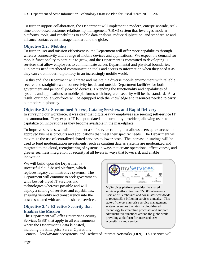To further support collaboration, the Department will implement a modern, enterprise-wide, realtime cloud-based customer relationship management (CRM) system that leverages modern platforms, tools, and capabilities to enable data analysis, reduce duplication, and standardize and enhance contact event management around the globe.

## <span id="page-7-0"></span>**Objective 2.2: Mobility**

To further user and mission effectiveness, the Department will offer more capabilities through wireless connectivity and a range of mobile devices and applications. We expect the demand for mobile functionality to continue to grow, and the Department is committed to developing IT services that allow employees to communicate across Departmental and physical boundaries. Diplomats need untethered communication tools and access to information when they need it as they carry out modern diplomacy in an increasingly mobile world.

To this end, the Department will create and maintain a diverse mobile environment with reliable, secure, and straightforward connectivity inside and outside Department facilities for both government and personally-owned devices. Extending the functionality and capabilities of systems and applications to mobile platforms with integrated security will be the standard. As a result, our mobile workforce will be equipped with the knowledge and resources needed to carry out modern diplomacy.

# <span id="page-7-1"></span>**Objective 2.3: Streamlined Access, Catalog Services, and Rapid Delivery**

In surveying our workforce, it was clear that digital-savvy employees are seeking self-service IT and automation. They expect IT is kept updated and current by providers, allowing users to capitalize on innovations as they become available in the marketplace.

To improve services, we will implement a self-service catalog that allows users quick access to approved business products and applications that meet their specific needs. The Department will maximize the use of centralized shared services to lower costs. The increase in savings will be used to fund modernization investments, such as curating data as systems are modernized and migrated to the cloud, reengineering of systems in ways that create operational effectiveness, and greater seamless integration of security at all levels in ways that lower risk and enable innovation.

We will build upon the Department's successful cloud-based platform, which replaces legacy administrative systems. The Department will continue to seek governmentwide best-of-breed IT services and technologies wherever possible and will deploy a catalog of services and capabilities, ensuring visibility and transparency into the cost associated with available shared services.

## <span id="page-7-2"></span>**Objective 2.4: Effective Security that Enables the Mission**

The Department will offer Enterprise Security Services (ESS) that apply to all environments where the Department's data is hosted, including the Enterprise Server Operations



MyServices platform provides the shared services platform for over 95,000 interagency users at 275 embassies and consulates worldwide to request \$3.4 billion in services annually. This state-of-the-art enterprise service management system leverages the latest in cloud-based technology to streamline processes and support administrative functions around the globe while providing a platform for increased user accessibility and service.

Centers, Cloud@State ecosystems, and Dedicated Internet Networks (DIN). This service will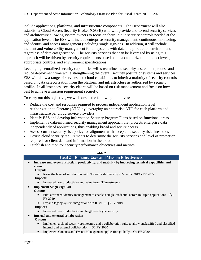include applications, platforms, and infrastructure components. The Department will also establish a Cloud Access Security Broker (CASB) who will provide end-to-end security services and architecture allowing system owners to focus on their unique security controls needed at the application level. The ESS will include enterprise security management, continuous monitoring, and identity and access management (including single sign-on). In addition, it will include incident and vulnerability management for all systems with data in a production environment, regardless of data categorization. The security services that can be leveraged by using this approach will be driven by security requirements based on data categorization, impact levels, appropriate controls, and environment specifications.

Leveraging centralized security capabilities will streamline the security assessment process and reduce deployment time while strengthening the overall security posture of systems and services. ESS will allow a range of services and cloud capabilities to inherit a majority of security controls based on data categorization from the platform and infrastructure as authorized by security profile. In all instances, security efforts will be based on risk management and focus on how best to achieve a mission requirement securely.

To carry out this objective, we will pursue the following initiatives:

- Reduce the cost and resources required to process independent application level Authorization to Operate (ATO) by leveraging an enterprise ATO for each platform and infrastructure per cloud service providers
- Identify ESS and develop Information Security Program Plans based on functional areas
- Implement a data-informed security management approach that protects enterprise data independently of applications, thus enabling broad and secure access
- Assess current security risk policy for alignment with acceptable security risk thresholds
- Devise cloud security requirements to determine the security services and level of protection required for client data and information in the cloud
- Establish and monitor security performance objectives and metrics



Implement Contacts and Events Management application globally – Q4 FY 2020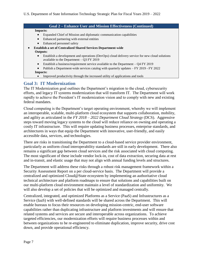| <b>Impacts:</b> |                                                                                                                                              |  |
|-----------------|----------------------------------------------------------------------------------------------------------------------------------------------|--|
|                 | Expanded Chief of Mission and diplomatic communication capabilities                                                                          |  |
| $\bullet$       | Enhanced partnering with external entities                                                                                                   |  |
| $\bullet$       | Enhanced personnel safety                                                                                                                    |  |
|                 | <b>Establish a set of Centralized Shared Services Department-wide</b>                                                                        |  |
|                 | <b>Outputs:</b>                                                                                                                              |  |
| $\bullet$       | Establish a development and operations (DevOps) cloud delivery service for new cloud solutions<br>available to the Department $-$ Q3 FY 2019 |  |
| $\bullet$       | Establish a business/requirement service available to the Department $- Q4 FY 2019$                                                          |  |
| $\bullet$       | Publish a Department-wide services catalog with quarterly updates – FY 2019 - FY 2022                                                        |  |
|                 | Impacts:                                                                                                                                     |  |
| $\bullet$       | Improved productivity through the increased utility of applications and tools                                                                |  |

# <span id="page-9-0"></span>**Goal 3: IT Modernization**

The IT Modernization goal outlines the Department's migration to the cloud, cybersecurity efforts, and legacy IT systems modernization that will transform IT. The Department will work rapidly to achieve the President's IT modernization vision and to comply with new and existing federal mandates.

Cloud computing is the Department's target operating environment, whereby we will implement an interoperable, scalable, multi-platform cloud ecosystem that supports collaboration, mobility, and agility as articulated in the *FY 2018 – 2022 Department Cloud Strategy* (DCS). Aggressive steps toward moving legacy systems to the cloud will reduce reliance on owning and operating a costly IT infrastructure. This will require updating business processes, enterprise standards, and architectures in ways that equip the Department with innovative, user-friendly, and easily accessible data, services, and technologies.

There are risks in transitioning the Department to a cloud-based service provider environment, particularly as uniform cloud interoperability standards are still in early development. There also remains a significant gap between cloud services and the risk associated with cloud computing. The most significant of these include vendor lock-in, cost of data extraction, securing data at rest and in-transit, and elastic usage that may not align with annual funding levels and structures.

The Department will address these risks through a robust risk management framework within a Security Assessment Report on a per cloud-service basis. The Department will provide a centralized and optimized Cloud@State ecosystem by implementing an authoritative cloud technical architecture and platform roadmaps to ensure that solutions and capabilities built on our multi-platform cloud environment maintain a level of standardization and uniformity. We will also develop a set of policies that will be optimized and managed centrally.

Centralized, integrated, and optimized Platforms as a Service (PaaS) and Infrastructures as a Service (IaaS) with well-defined standards will be shared across the Department. This will enable bureaus to focus their resources on developing mission-centric, end-user software capabilities rather than duplicating infrastructure and platform investments and will ensure that related systems and services are secure and interoperable across organizations. To achieve targeted efficiencies, our modernization efforts will require business processes within and between organizations to be re-engineered to eliminate duplication, improve security, drive cost down, and provide operational efficiency.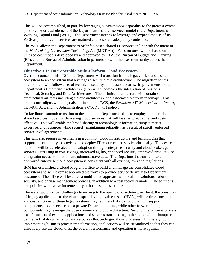This will be accomplished, in part, by leveraging out-of-the-box capability to the greatest extent possible. A critical element of the Department's shared services model is the Department's Working Capital Fund (WCF). The Department intends to leverage and expand the use of its WCF as products and services are matured and costs are adequately controlled.

The WCF allows the Department to offer fee-based shared IT services in line with the intent of the *Modernizing Government Technology Act* (MGT Act). Fee structures will be based on unitized cost models developed by and approved by IRM, the Bureau of Budget and Planning (BP), and the Bureau of Administration in partnership with the user community across the Department.

# <span id="page-10-0"></span>**Objective 3.1: Interoperable Multi-Platform Cloud Ecosystem**

Over the course of this ITSP, the Department will transition from a legacy brick and mortar ecosystem to an ecosystem that leverages a secure cloud architecture. The migration to this environment will follow a set of technical, security, and data standards. Improvements to the Department's Enterprise Architecture (EA) will encompass the integration of Business, Technical, Security, and Data Architectures. The technical architecture will contain subarchitectural artifacts including a cloud architecture and associated platform roadmaps. This architecture aligns with the goals outlined in the DCS, the *President's IT Modernization Report*, the MGT Act, and the Administration's *Cloud Smart* policy.

To facilitate a smooth transition to the cloud, the Department plans to employ an enterprise shared services model for delivering cloud services that will be structured, agile, and costeffective. This will enable the broad sharing of technology, information, subject matter expertise, and resources while securely maintaining reliability as a result of strictly enforced service level agreements.

This will also require investments in a common cloud infrastructure and technologies that support the capability to provision and deploy IT resources and service elastically. The desired outcome will be accelerated cloud adoption through enterprise security and cloud brokerage services – resulting in cost savings, increased agility, enhanced security, improved productivity, and greater access to mission and administrative data. The Department's transition to an optimized enterprise cloud ecosystem is consistent with all existing laws and regulations.

IRM has established a Cloud Program Office to build and manage the consolidated cloud ecosystem and will leverage approved platforms to provide service delivery to Department customers. The office will leverage a multi-cloud approach with scalable solutions, robust security, and change management policies, in addition to a cost recovery model. The solutions and policies will evolve incrementally as business lines mature.

There are two principal challenges to moving to the open cloud architecture. First, the transition of legacy applications to the cloud, especially high value assets (HVA), will be time-consuming and costly. Some of these legacy systems may require a hybrid-cloud that will support components and/or services on a private Department cloud, while other forward facing components may leverage the open commercial cloud architecture. Second, the business process transformation of existing applications and services transitioning to the cloud will be hampered by the lack of documentation and resources that undergird those processes. Ultimately, by implementing business process transformation, applications will be streamlined so that they can effectively use the cloud; thus, the overall performance and operation is more optimal.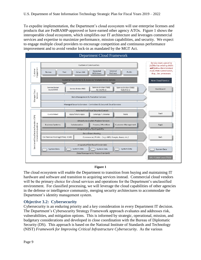To expedite implementation, the Department's cloud ecosystem will use enterprise licenses and products that are FedRAMP-approved or have earned other agency ATOs. Figure 1 shows the interoperable cloud ecosystem, which simplifies our IT architecture and leverages commercial services and expertise to maximize performance, mission capabilities, and security. We expect to engage multiple cloud providers to encourage competition and continuous performance improvement and to avoid vendor lock-in as mandated by the MGT Act.



#### **Figure 1**

The cloud ecosystem will enable the Department to transition from buying and maintaining IT hardware and software and transition to acquiring services instead. Commercial cloud vendors will be the primary choice for cloud services and operations for the Department's unclassified environment. For classified processing, we will leverage the cloud capabilities of other agencies in the defense or intelligence community, merging security architectures to accommodate the Department's identity management system.

# <span id="page-11-0"></span>**Objective 3.2: Cybersecurity**

Cybersecurity is an enduring priority and a key consideration in every Department IT decision. The Department's Cybersecurity Strategy Framework approach evaluates and addresses risk, vulnerabilities, and mitigation options. This is informed by strategic, operational, mission, and budgetary considerations and developed in close coordination with the Bureau of Diplomatic Security (DS). This approach is based on the National Institute of Standards and Technology (NIST) *Framework for Improving Critical Infrastructure Cybersecurity*. As the various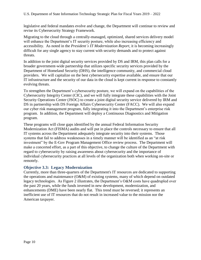legislative and federal mandates evolve and change, the Department will continue to review and revise its Cybersecurity Strategy Framework.

Migrating to the cloud through a centrally-managed, optimized, shared services delivery model will enhance the Department's IT security posture, while also increasing efficiency and accessibility. As noted in the *President's IT Modernization Report*, it is becoming increasingly difficult for any single agency to stay current with security demands and to protect against threats.

In addition to the joint digital security services provided by DS and IRM, this plan calls for a broader government-wide partnership that utilizes specific security services provided by the Department of Homeland Security (DHS), the intelligence community, and commercial cloud providers. We will capitalize on the best cybersecurity expertise available, and ensure that our IT infrastructure and the security of our data in the cloud is kept current in response to constantly evolving threats.

To strengthen the Department's cybersecurity posture, we will expand on the capabilities of the Cybersecurity Integrity Center (CIC), and we will fully integrate these capabilities with the Joint Security Operations Center (JSOC) to create a joint digital security service delivered by IRM and DS in partnership with DS Foreign Affairs Cybersecurity Center (FACC). We will also expand our cyber risk management program, fully integrating it into the Department's enterprise risk program. In addition, the Department will deploy a Continuous Diagnostics and Mitigation program.

These programs will close gaps identified by the annual Federal Information Security Modernization Act (FISMA) audits and will put in place the controls necessary to ensure that all IT systems across the Department adequately integrate security into their systems. Those systems that fail to address weaknesses in a timely manner will be identified as an "at risk investment" by the E-Gov Program Management Office review process. The Department will make a concerted effort, as a part of this objective, to change the culture of the Department with regard to cybersecurity by raising awareness about cybersecurity and the importance of individual cybersecurity practices at all levels of the organization both when working on-site or remotely.

# <span id="page-12-0"></span>**Objective 3.3: Legacy Modernization**

Currently, more than three-quarters of the Department's IT resources are dedicated to supporting the operations and maintenance (O&M) of existing systems, many of which depend on outdated legacy technologies. As Figure 2 illustrates, the Department's O&M costs have quadrupled over the past 20 years, while the funds invested in new development, modernization, and enhancements (DME) have been nearly flat. This trend must be reversed; it represents an inefficient use of IT resources that do not result in increased value to the mission nor the American taxpayer.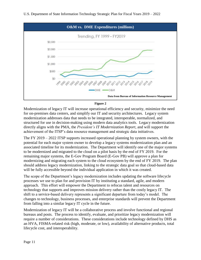

#### **Figure 2**

Modernization of legacy IT will increase operational efficiency and security, minimize the need for on-premises data centers, and simplify our IT and security architectures. Legacy system modernization addresses data that needs to be integrated, interoperable, normalized, and structured for use in decision-making using modern data analytics tools. Legacy modernization directly aligns with the PMA, the *President's IT Modernization Report*, and will support the achievement of the ITSP's data resource management and strategic data initiatives.

The FY 2019 – 2022 ITSP supports increased operational planning by system owners, with the potential for each major system owner to develop a legacy systems modernization plan and an associated timeline for its modernization. The Department will identify one of the major systems to be modernized and migrated to the cloud on a pilot basis by the end of FY 2019. For the remaining major systems, the E-Gov Program Board (E-Gov PB) will approve a plan for modernizing and migrating each system to the cloud ecosystem by the end of FY 2019. The plan should address legacy modernization, linking to the strategic data goal so that cloud-based data will be fully accessible beyond the individual application in which it was created.

The scope of the Department's legacy modernization includes updating the software lifecycle processes we use to plan for and provision IT by instituting a standard, agile, and modern approach. This effort will empower the Department to refocus talent and resources on technology that supports and improves mission delivery rather than the costly legacy IT. The shift to a service-based delivery represents a significant departure from today's model. The changes to technology, business processes, and enterprise standards will prevent the Department from falling into a similar legacy IT cycle in the future.

Modernization of legacy IT will be a collaborative process and involve functional and regional bureaus and posts. The process to identify, evaluate, and prioritize legacy modernization will require a number of considerations. These considerations include technology defined by DHS as an HVA, FISMA-related risk (high, moderate, or low), availability of alternative products, total lifecycle cost, and interoperability.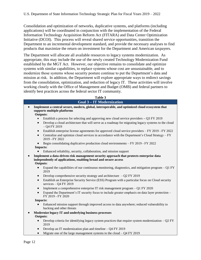Consolidation and optimization of networks, duplicative systems, and platforms (including applications) will be coordinated in conjunction with the implementation of the Federal Information Technology Acquisition Reform Act (FITARA) and Data Center Optimization Initiative (DCOI). This process will reveal shared service opportunities, transition the Department to an incremental development standard, and provide the necessary analyses to find products that maximize the return on investment for the Department and American taxpayers.

The Department will allocate all available resources to legacy systems modernization. As appropriate, this may include the use of the newly created Technology Modernization Fund established by the MGT Act. However, our objective remains to consolidate and optimize systems with similar capabilities, to replace systems whose cost are unsustainable, and to modernize those systems whose security posture continue to put the Department's data and mission at risk. In addition, the Department will explore appropriate ways to redirect savings from the consolidation, optimization, and reduction of legacy IT. These activities will involve working closely with the Office of Management and Budget (OMB) and federal partners to identify best practices across the federal sector IT community.

|           | Table 3                                                                                                                                                                       |
|-----------|-------------------------------------------------------------------------------------------------------------------------------------------------------------------------------|
|           | <b>Goal 3-IT Modernization</b>                                                                                                                                                |
|           | Implement a central secure, modern, global, interoperable, and optimized cloud ecosystem that<br>supports multiple platforms                                                  |
|           | <b>Outputs:</b>                                                                                                                                                               |
| $\bullet$ | Establish a process for selecting and approving new cloud service providers $-$ Q3 FY 2019                                                                                    |
| $\bullet$ | Develop a cloud architecture that will serve as a roadmap for migrating legacy systems to the cloud<br>$-$ Q4 FY 2019                                                         |
| $\bullet$ | Establish enterprise license agreements for approved cloud service providers – FY 2019 - FY 2022                                                                              |
| $\bullet$ | Centralize and optimize cloud services in accordance with the Department's Cloud Strategy – FY<br>2019 - FY 2022                                                              |
| $\bullet$ | Begin consolidating duplicative production cloud environments - FY 2019 - FY 2022                                                                                             |
|           | <b>Impacts:</b>                                                                                                                                                               |
|           | Enhanced reliability, security, collaboration, and mission support                                                                                                            |
|           | Implement a data-driven risk management security approach that protects enterprise data<br>independently of applications, enabling broad and secure access<br><b>Outputs:</b> |
|           | Expand the capabilities of our continuous monitoring, diagnostics, and mitigation program $-Q1$ FY<br>2019                                                                    |
| $\bullet$ | Develop comprehensive security strategy and architecture $-$ Q2 FY 2019                                                                                                       |
| $\bullet$ | Establish an Enterprise Security Service (ESS) Program with a particular focus on Cloud security<br>services - Q4 FY 2019                                                     |
| $\bullet$ | Implement a comprehensive enterprise IT risk management program – Q1 FY 2020                                                                                                  |
| $\bullet$ | Expand the Department's IT security focus to include greater emphasis on data layer protection –<br>FY 2019 - FY 2020                                                         |
|           | <b>Impacts:</b>                                                                                                                                                               |
| $\bullet$ | Enhanced mission support through improved access to data anywhere; reduced vulnerability to<br>hacking and other threats                                                      |
|           | Modernize legacy IT and underlying business processes                                                                                                                         |
|           | <b>Outputs:</b>                                                                                                                                                               |
|           | Develop criteria for identifying legacy system practices that require system modernization $-$ Q2 FY<br>2019                                                                  |
| $\bullet$ | Develop an IT modernization plan and timeline $-$ Q4 FY 2019                                                                                                                  |
| $\bullet$ | Migrate one of the large management systems to the cloud $-$ Q4 FY 2019                                                                                                       |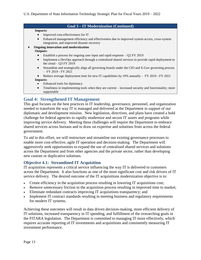#### **Goal 3 – IT Modernization (Continued)**

#### **Impacts:**

- Improved cost-effectiveness for IT
- Enhanced management efficiency and effectiveness due to improved system access, cross-system integration, and improved disaster recovery

 **Ongoing innovation and modernization Outputs:**

- Establish a process for ongoing user input and rapid response Q2 FY 2019
- Implement a DevOps approach through a centralized shared services to provide rapid deployment to the cloud  $-$  Q3 FY 2019
- Streamline and strategically align all governing boards under the CIO and E-Gov governing process – FY 2019 - FY 2021
- Reduce average deployment time for new IT capabilities by 10% annually FY 2019 FY 2021

#### **Impacts:**

- Enhanced tools for diplomacy
- Timeliness in implementing tools when they are current increased security and functionality; more supportable

# <span id="page-15-0"></span>**Goal 4: Strengthened IT Management**

This goal focuses on the best practices in IT leadership, governance, personnel, and organization needed to transform the way IT is managed and delivered at the Department in support of our diplomatic and development mission. New legislation, directives, and plans have created a bold challenge for federal agencies to rapidly modernize and secure IT assets and programs while improving service delivery. Meeting these challenges will require the Department to embrace shared services across bureaus and to draw on expertise and solutions from across the federal government.

To aid in this effort, we will restructure and streamline our existing governance processes to enable more cost-effective, agile IT operation and decision-making. The Department will aggressively seek opportunities to expand the use of centralized shared services and solutions across the Department and from other agencies and the private sector, rather than developing new custom or duplicative solutions.

## <span id="page-15-1"></span>**Objective 4.1: Streamlined IT Acquisition**

IT acquisition represents a critical service influencing the way IT is delivered to customers across the Department. It also functions as one of the most significant cost and risk drivers of IT service delivery. The desired outcome of the IT acquisitions modernization objective is to:

- Create efficiency in the acquisition process resulting in lowering IT acquisitions cost;
- Remove unnecessary friction in the acquisition process resulting in improved time to market;
- Eliminate redundant contracts improving IT acquisitions transparency; and
- Implement IT contract standards resulting in meeting business and regulatory requirements for modern IT systems.

Achieving these outcomes will result in data driven decision-making, more efficient delivery of IT solutions, increased transparency in IT spending, and fulfillment of the overarching goals in the FITARA legislation. The Department is committed to managing IT more effectively, which requires accurate reporting of IT investments and acquisitions and consistently measuring IT investment performance.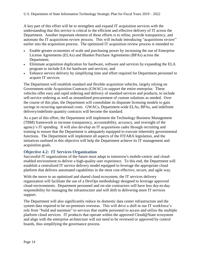A key part of this effort will be to strengthen and expand IT acquisition services with the understanding that this service is critical to the efficient and effective delivery of IT across the Department. Another important element of these efforts is to refine, provide transparency, and automate the IT acquisitions review process. This will include introducing "acquisitions review" earlier into the acquisition process. The optimized IT acquisition review process is intended to:

- Enable greater economies of scale and purchasing power by increasing the use of Enterprise License Agreements (ELAs) and Blanket Purchase Agreements (BPAs) across the Department;
- Eliminate acquisition duplication for hardware, software and services by expanding the ELA program to include EA for hardware and services; and
- Enhance service delivery by simplifying time and effort required for Department personnel to acquire IT services.

The Department will establish standard and flexible acquisition vehicles, largely relying on Government-wide Acquisition Contracts (GWAC) to support the entire enterprise. These vehicles offer easy and rapid ordering and delivery of standard services and products, to include self-service ordering as well as streamlined procurement of custom solutions as needed. Over the course of this plan, the Department will consolidate its disparate licensing models to gain savings in recurring operational costs. GWACs, Department-wide ELAs, BPAs, and indefinite delivery/indefinite quantity contracts will become the standard.

As a part of this effort, the Department will implement the Technology Business Management (TBM) framework to increase transparency, accountability, accuracy, and oversight of the agency's IT spending. It will also develop an IT acquisitions cadre through recruiting and training to ensure that the Department is adequately equipped to execute inherently governmental functions. The Department will implement all aspects of the FITARA legislation, and the initiatives outlined in this objective will help the Department achieve its IT management and acquisition goals.

# <span id="page-16-0"></span>**Objective 4.2: IT Services Organization**

Successful IT organizations of the future must adapt to tomorrow's mobile-centric and cloudenabled environment to deliver a high-quality user experience. To this end, the Department will establish a centralized IT service delivery model equipped to leverage the appropriate cloud platform that delivers automated capabilities in the most cost effective, secure, and agile way.

With the move to an optimized and shared cloud ecosystem, the IT services delivery organization will facilitate the use of a DevOps methodology designed to leverage approved cloud environments. Department personnel and on-site contractors will have less day-to-day responsibility for managing the infrastructure and will shift to delivering more IT services support.

The Department will also significantly reduce its domestic data center infrastructure and the system data required to be on-premises overseas. This will drive a shift in our IT workforce's role from "build and maintain" to services that enable personnel to access and utilize the multiple platform cloud services. IT products that operate within the approved Cloud@State ecosystem and align with the enterprise architecture will not need to be reviewed or approved by control boards, thus simplifying the governance process.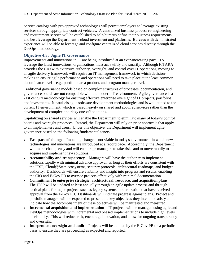Service catalogs with pre-approved technologies will permit employees to leverage existing services through appropriate contract vehicles. A centralized business process re-engineering and requirement service will be established to help bureaus define their business requirements and best leverage the Department's cloud investment and platforms. Bureaus with demonstrated experience will be able to leverage and configure centralized cloud services directly through the DevOps methodology.

# <span id="page-17-0"></span>**Objective 4.3: Agile IT Governance**

Improvements and innovations in IT are being introduced at an ever-increasing pace. To leverage the latest innovations, organizations must act swiftly and smartly. Although FITARA provides the CIO with extensive authority, oversight, and control over IT operations, moving to an agile delivery framework will require an IT management framework in which decisionmaking to ensure agile performance and operations will need to take place at the least common denominator level – e.g., portfolio, area product, and program manager level.

Traditional governance models based on complex structures of processes, documentation, and governance boards are not compatible with the modern IT environment. Agile governance is a 21st century methodology for ensuring effective enterprise oversight of IT projects, portfolios, and investments. It parallels agile software development methodologies and is well-suited to the current IT environment, which is based heavily on shared and acquired services rather than the development of complex and risky one-off solutions.

Capitalizing on shared services will enable the Department to eliminate many of today's control boards and oversight processes. Instead, the Department will rely on prior approvals that apply to all implementers and users. Under this objective, the Department will implement agile governance based on the following fundamental tenets:

- **Fast pace of change** Impeding change is not viable in today's environment in which new technologies and innovations are introduced at a record pace. Accordingly, the Department will make change easy and will encourage managers to take risks and to move rapidly to acquire and implement new solutions.
- **Accountability and transparency** Managers will have the authority to implement solutions rapidly with minimal advance approval, as long as their efforts are consistent with the ITSP, Cloud@State ecosystems, security protocols, architectural roadmaps, and budget authority. Dashboards will ensure visibility and insight into progress and results, enabling the CIO and E-Gov PB to oversee projects effectively with minimal documentation.
- **Commitment to enterprise strategic, architectural, resource, and acquisition plans** The ITSP will be updated at least annually through an agile update process and through tactical plans for major projects such as legacy systems modernization that have received approval from the E-Gov PB. Dashboards will indicate progress against plans. Project and portfolio managers will be expected to present the key objectives they intend to satisfy and to indicate how the accomplishment of these objectives will be manifested and measured.
- **Incremental acquisition and implementation** IT projects will be managed using agile and DevOps methodologies with incremental and phased implementations to include high levels of visibility. This will reduce risk, encourage innovation, and allow for ongoing transparency and oversight.
- **Independent oversight and audit** Projects will be audited by the E-Gov PB on a periodic basis to ensure they are proceeding as expected and reported.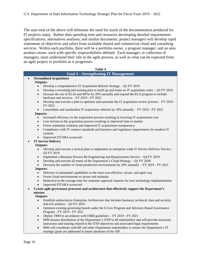The sum total of the above will eliminate the need for much of the documentation produced for IT projects today. Rather than spending time and resources developing detailed requirements specifications, alternatives analyses, and similar documents, project managers will develop rapid statements of objectives and select from available shared and commercial cloud and consulting services. Within each portfolio, there will be a portfolio owner, a program manager, and an area product owner, each with specific responsibilities defined. Each manager, or collection of managers, must understand their role in the agile process, as well as what can be expected from an agile project or portfolio as it progresses.

| <b>Table 4</b>                                                                                                                                     |  |  |  |
|----------------------------------------------------------------------------------------------------------------------------------------------------|--|--|--|
| <b>Goal 4 – Strengthening IT Management</b>                                                                                                        |  |  |  |
| <b>Streamlined Acquisitions</b>                                                                                                                    |  |  |  |
| <b>Outputs:</b>                                                                                                                                    |  |  |  |
| Develop a comprehensive IT Acquisition Reform Strategy - Q1 FY 2019<br>$\bullet$                                                                   |  |  |  |
| Develop a recruiting and training plan to build up and retain an IT acquisition cadre $-$ Q2 FY 2019<br>$\bullet$                                  |  |  |  |
| Increase the use of ELAs and BPAs by 20% annually and expand the ELA program to include<br>$\bullet$<br>hardware and services - FY 2019 - FY 2021  |  |  |  |
| Develop and execute a plan to optimize and automate the IT acquisition review process – FY 2019 -<br>$\bullet$<br>FY 2021                          |  |  |  |
| Consolidate and standardize IT acquisition vehicles by 10% annually - FY 2019 - FY 2022                                                            |  |  |  |
| <b>Impacts:</b>                                                                                                                                    |  |  |  |
| Increased efficiency in the acquisition process resulting in lowering IT acquisitions cost                                                         |  |  |  |
| Less friction in the acquisition process resulting in improved time to market<br>$\bullet$                                                         |  |  |  |
| Fewer redundant contracts and improved IT acquisitions transparency<br>$\bullet$                                                                   |  |  |  |
| Compliance with IT contract standards and business and regulatory requirements for modern IT<br>$\bullet$<br>systems                               |  |  |  |
| Improved FITARA scorecard                                                                                                                          |  |  |  |
| <b>IT Service Delivery</b>                                                                                                                         |  |  |  |
| <b>Outputs:</b>                                                                                                                                    |  |  |  |
| Develop and execute a tactical plan to implement an enterprise-wide IT Service Delivery Service -<br>Q3 FY 2019                                    |  |  |  |
| Implement a Business Process Re-Engineering and Requirements Service $-$ Q4 FY 2019<br>$\bullet$                                                   |  |  |  |
| Develop and execute all tenets of the Department's Cloud Strategy - Q1 FY 2020<br>$\bullet$                                                        |  |  |  |
| Decrease the number of cloud production environments by 20% annually – FY 2019 - FY 2021                                                           |  |  |  |
| <b>Impacts:</b>                                                                                                                                    |  |  |  |
| Delivery of automated capabilities in the most cost effective, secure, and agile way                                                               |  |  |  |
| Fewer cloud environments to secure and maintain<br>$\bullet$                                                                                       |  |  |  |
| Reduction in the average time for customer approval requests for new technology implementation<br>$\bullet$                                        |  |  |  |
| Improved FITARA scorecard                                                                                                                          |  |  |  |
| Create agile governance processes and architecture that effectively support the Department's                                                       |  |  |  |
| mission                                                                                                                                            |  |  |  |
| <b>Outputs:</b>                                                                                                                                    |  |  |  |
| Establish authoritative Enterprise Architecture that includes business, technical, data and security<br>$\bullet$<br>Sub-EA artifacts - Q3 FY 2019 |  |  |  |
| Optimize existing governing boards under the E-Gov Program and Advisory Board Governance<br>$\bullet$<br>Program - FY 2019 - FY 2021               |  |  |  |
| Deploy TBM in accordance with OMB guidelines - FY 2019 - FY 2021                                                                                   |  |  |  |
| IRM ensures distribution of the Department's ITSP to all stakeholders and will provide necessary                                                   |  |  |  |

instruction and training related to the ITSP objectives and associated legal requirements IRM will coordinate with BP and other Department stakeholders to ensure the Department's IT

strategic goals are addressed in future iterations of the JSP.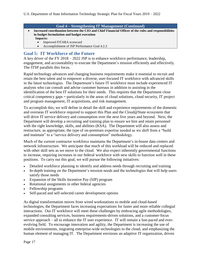#### **Goal 4 – Strengthening IT Management (Continued)**

- **Increased coordination between the CIO and Chief Financial Officer of the roles and responsibilities in budget formulation and budget execution Impacts:**
	- Improved FITARA scorecard
	- Accomplishment of JSP Performance Goal 4.2.3

# <span id="page-19-0"></span>**Goal 5: IT Workforce of the Future**

A key driver of the FY 2018 – 2022 JSP is to enhance workforce performance, leadership, engagement, and accountability to execute the Department's mission efficiently and effectively. The ITSP parallels this focus.

Rapid technology advances and changing business requirements make it essential to recruit and retain the best talent and to empower a diverse, user-focused IT workforce with advanced skills in the latest technologies. The Department's future IT workforce must include experienced IT analysts who can consult and advise customer bureaus in addition to assisting in the identification of the best IT solutions for their needs. This requires that the Department close critical competency gaps  $-$  particularly in the areas of cloud solutions, cloud security, IT project and program management, IT acquisitions, and risk management.

To accomplish this, we will define in detail the skill and experience requirements of the domestic and overseas IT workforce required to support this Plan and the Cloud@State ecosystem that will drive IT service delivery and consumption over the next five years and beyond. Next, the Department will develop a recruiting and training plan to ensure we hire and retain personnel with the right knowledge, skills, and abilities (KSA). The Department will also assess and restructure, as appropriate, the type of on-premises expertise needed as we shift from a "build and maintain" to a "service delivery and consumption" methodology.

Much of the current contractor workforce maintains the Department's in-house data centers and network infrastructure. We anticipate that much of this workload will be reduced and replaced with other skill sets as we move to the cloud. We also expect inherently governmental functions to increase, requiring increases in our federal workforce with new skills to function well in these positions. To carry out this goal, we will pursue the following initiatives:

- Detailed workforce planning to identify and address needs through recruiting and training
- In-depth training on the Department's mission needs and the technologies that will help users satisfy those needs
- Expansion of the Skills Incentive Pay (SIP) program
- Rotational assignments in other federal agencies
- Fellowship programs
- Self-paced and self-selected career development options

As digital transformation moves from wired workstations to mobile and cloud-based technologies, the Department faces increasing expectations for faster and more reliable collegial interactions. Our IT workforce will meet these challenges by embracing agile methodologies, expanded consulting services, business requirements-driven solutions, and a customer-focus service approach – all to enhance the IT user experience. IT will remain a fast-paced and everevolving field. To encourage innovation and agility, the Department is increasing the use of mobile environments, migrating enterprise-wide technologies to the cloud, and emphasizing the human element of managing IT. The Department envisions an adaptive IT organization, driven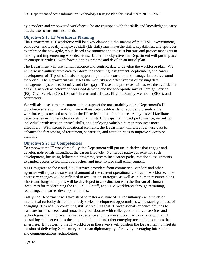by a modern and empowered workforce who are equipped with the skills and knowledge to carry out the user's mission-first needs.

## <span id="page-20-0"></span>**Objective 5.1: IT Workforce Planning**

The Department's IT workforce will be a key element in the success of this ITSP. Government, contractor, and Locally Employed staff (LE staff) must have the skills, capabilities, and aptitudes to embrace the new agile, cloud-based environment and to assist bureaus and project managers in making and implementing wise decisions. Under this objective, the Department will put in place an enterprise-wide IT workforce planning process and develop an initial plan.

The Department will use human resource and contract data to develop the workforce plan. We will also use authoritative data to inform the recruiting, assignment, deployment, and career development of IT professionals to support diplomatic, consular, and managerial assets around the world. The Department will assess the maturity and effectiveness of existing data management systems to identify and close gaps. These data processes will assess the availability of skills, as well as determine workload demand and the appropriate mix of Foreign Service (FS); Civil Service (CS); LE staff; interns and fellows; Eligible Family Members (EFM); and contractors.

We will also use human resource data to support the measurability of the Department's IT workforce strategy. In addition, we will institute dashboards to report and visualize the workforce gaps needed to support the IT environment of the future. Analytics will facilitate decisions regarding reduction or eliminating staffing gaps that impact performance, recruiting individuals with mission-critical skills, and deploying valuable human resources more effectively. With strong foundational elements, the Department will effectively use data to enhance the forecasting of retirement, separation, and attrition rates to improve succession planning.

# <span id="page-20-1"></span>**Objective 5.2: IT Competencies**

To empower the IT workforce fully, the Department will pursue initiatives that engage and develop individuals throughout the career lifecycle. Numerous pathways exist for such development, including fellowship programs, streamlined career paths, rotational assignments, expanded access to learning approaches, and incentivized skill enhancement.

As IT migrates to the cloud, cloud service providers from commercial vendors and other agencies will replace a substantial amount of the current operational contractor workforce. The necessary changes will be reflected in acquisition strategies, as well as in human resource plans. Short- and long-term plans will be developed in coordination with the Bureau of Human Resources for modernizing the FS, CS, LE staff, and EFM workforces through retraining, recruiting, and career development plans.

Lastly, the Department will take steps to foster a culture of IT consultancy - an attitude of intellectual curiosity that continuously seeks development opportunities while staying abreast of changing IT trends. A consulting skill set requires that IT professionals enhance abilities to translate business needs and proactively collaborate with colleagues to deliver services and technologies that improve the user experience and mission support. A workforce with an IT consulting skill set enables the adoption of cloud and other emerging technologies across the enterprise. Empowering the IT workforce in these ways will position the Department to meet its mission of delivering 21st century American diplomacy by effectively leveraging information and communications technologies.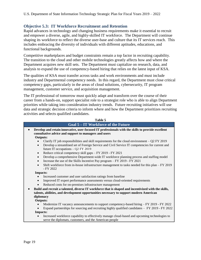## <span id="page-21-0"></span>**Objective 5.3: IT Workforce Recruitment and Retention**

Rapid advances in technology and changing business requirements make it essential to recruit and empower a diverse, agile, and highly-skilled IT workforce. The Department will continue shaping its workforce to reflect the diverse user-base and culture that its IT services reach. This includes embracing the diversity of individuals with different aptitudes, educations, and functional backgrounds.

Competitive marketplaces and budget constraints remain a top factor in recruiting capability. The transition to the cloud and other mobile technologies greatly affects how and where the Department acquires new skill sets. The Department must capitalize on research, data, and analysis to expand the use of competency-based hiring that relies on the latest input of KSA.

The qualities of KSA must transfer across tasks and work environments and must include industry and Departmental competency needs. In this regard, the Department must close critical competency gaps, particularly in the areas of cloud solutions, cybersecurity, IT program management, customer service, and acquisition management.

The IT professional of tomorrow must quickly adapt and transform over the course of their career from a hands-on, support specialist role to a strategist role who is able to align Department priorities while taking into consideration industry trends. Future recruiting initiatives will use data and strategic decision criteria to inform where and how the Department prioritizes recruiting activities and selects qualified candidates.

|                        | Table 5                                                                                                                                                                                                                                 |
|------------------------|-----------------------------------------------------------------------------------------------------------------------------------------------------------------------------------------------------------------------------------------|
|                        | <b>Goal 5-IT Workforce of the Future</b>                                                                                                                                                                                                |
|                        | Develop and retain innovative, user-focused IT professionals with the skills to provide excellent<br>consultative advice and support to managers and users                                                                              |
| <b>Outputs:</b>        |                                                                                                                                                                                                                                         |
| $\bullet$              | Clarify IT job responsibilities and skill requirements for the cloud environment $-$ Q2 FY 2019<br>Develop a streamlined set of Foreign Service and Civil Service IT competencies for current and<br>future IT occupations - Q2 FY 2019 |
| $\bullet$              | Reduce critical competency skill gaps - FY 2019 - FY 2021                                                                                                                                                                               |
| $\bullet$<br>$\bullet$ | Develop a comprehensive Department-wide IT workforce planning process and staffing model<br>Increase the use of the Skills Incentive Pay program – FY 2019 - FY 2021                                                                    |
|                        | Shift workforce from in-house infrastructure management to tasks needed for this plan – FY 2019<br>$-$ FY 2022                                                                                                                          |
| <b>Impacts:</b>        |                                                                                                                                                                                                                                         |
|                        | Increased customer and user satisfaction ratings from baseline                                                                                                                                                                          |
|                        | Improved IT expert performance assessments versus cloud-oriented requirements                                                                                                                                                           |
|                        | Reduced costs for on-premises infrastructure management                                                                                                                                                                                 |
|                        | Build and recruit a talented, diverse IT workforce that is shaped and incentivized with the skills,                                                                                                                                     |
| diplomacy              | talents, abilities, and development opportunities necessary to support modern American                                                                                                                                                  |
| <b>Outputs:</b>        |                                                                                                                                                                                                                                         |
|                        | Modernize IT vacancy announcements to support competency-based hiring – FY 2019 - FY 2022                                                                                                                                               |
|                        | Expand partnerships for sourcing and recruiting highly qualified candidates $-$ FY 2019 - FY 2022                                                                                                                                       |
| <b>Impacts:</b>        |                                                                                                                                                                                                                                         |
|                        | Increased workforce capability to effectively manage cloud-based and upcoming technologies to                                                                                                                                           |
|                        | serve the diplomats, customers, and the American people                                                                                                                                                                                 |